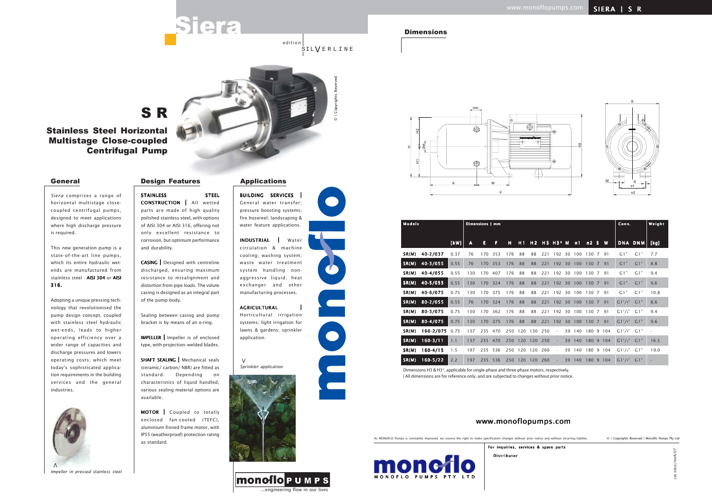### **Dimensions**

*Siera* comprises a range of horizontal multistage closecoupled centrifugal pumps, designed to meet applications where high discharge pressure is required.

This new generation pump is a state-of-the-art line pumps, which its entire hydraulic wetends are manufactured from stainless steel - AISI 304 or AISI 316.

STAINLESS STEEL CONSTRUCTION | All wetted parts are made of high quality polished stainless steel, with options of AISI 304 or AISI 316, offering not only excellent resistance to corrosion, but optimum performance and durability.

Adopting a unique pressing technology that revolutionised the pump design concept, coupled with stainless steel hydraulic wet-ends, leads to higher operating efficiency over a wider range of capacities and discharge pressures and lowers operating costs; which meet today's sophisticated application requirements in the building services and the general industries.

SHAFT SEALING | Mechanical seals (ceramic/ carbon/ NBR) are fitted as standard. Depending on characteristics of liquid handled, various sealing material options are available.

BUILDING SERVICES | General water transfer; pressure boosting systems; fire hosereel; landscaping & water feature applications.

CASING | Designed with centreline discharged, ensuring maximum resistance to misalignment and distortion from pipe loads. The volute casing is designed as an integral part of the pump body.

edition **SILVERLINE** 

Sealing between casing and pump bracket is by means of an o-ring.

IMPELLER | Impeller is of enclosed type, with projection–welded blades.

MOTOR | Coupled to totally enclosed fan-cooled (TEFC), aluminium-finned frame motor, with IP55 (weatherproof) protection rating as standard.

INDUSTRIAL | Water circulation & machine cooling; washing system; waste water treatment system handling nonaggressive liquid; heat exchanger and other manufacturing processes.

### **AGRICULTURAL**

Dimensions H3 & H3\*, applicable for single-phase and three-phase motors, respectively. | All dimensions are for reference only, and are subjected to changes without prior notice.

Horticultural irrigation systems; light irrigation for lawns & gardens; sprinkler application.

# S R

Stainless Steel Horizontal Multistage Close-coupled Centrifugal Pump

# General Design Features Applications



*Sprinkler application* **>**





...engineering flow in our lives

**MONOTOPUMPS** 



As MONOFLO Pumps is constantly improved, we reserve the right to make specification changes without prior notice and without incurring liability.

Distributor For inquiries, services & spare parts

cat.siera/revA/07

© | Copyrights Reserved | Monoflo Pumps Pty Ltd



# www.monoflopumps.com







| <b>Models</b> |              |      |     | Dimensions   mm |         |     |         |         |     |                          |    |                  |           |  | Conn.                   |         | Weight |
|---------------|--------------|------|-----|-----------------|---------|-----|---------|---------|-----|--------------------------|----|------------------|-----------|--|-------------------------|---------|--------|
|               |              |      |     |                 |         |     |         |         |     |                          |    |                  |           |  |                         |         |        |
|               |              | [kW] | A   | E               | F       | н   | H1      |         |     | H2 H3 H3* M              |    | n1               | n2 S W    |  |                         | DNA DNM | [kg]   |
| SR(M)         | 40-2/037     | 0.37 | 76  | 170             | 353     | 176 | 88      | 88      | 221 |                          |    | 192 30 100       | 130 7 91  |  | G1"                     | G1"     | 7.7    |
| SR(M)         | 40-3/055     | 0.55 | 76  | 170             | 353     | 176 | 88      | 88      | 221 | 192 30                   |    | 100              | 130 7 91  |  | G1"                     | G1"     | 8.8    |
| SR(M)         | 40-4/055     | 0.55 | 130 | 170             | 407     | 176 | 88      | 88      | 221 |                          |    | 192 30 100       | 130 7 91  |  | G1"                     | G1"     | 9.4    |
| SR(M)         | 40-5/055     | 0.55 | 130 | 170             | 324     | 176 | 88      | 88      | 221 | 192 30                   |    | 100              | 130 7 91  |  | G1"                     | G1"     | 9.6    |
| SR(M)         | 40-6/075     | 0.75 | 130 | 170             | 375     | 176 | 88      | 88      | 221 |                          |    | 192 30 100       | 130 7 91  |  | G1"                     | G1"     | 10.8   |
| SR(M)         | $80 - 2/055$ | 0.55 | 76  |                 | 170 324 | 176 | 88      | 88      | 221 | 192 30                   |    | 100              | 130 7 91  |  | $G1^{1}/4"$             | G1"     | 8.6    |
| SR(M)         | 80-3/075     | 0.75 | 130 | 170             | 362     | 176 | 88      | 88      | 221 |                          |    | 192 30 100       | 130 7 91  |  | $G1^{1}/4"$             | G 1 "   | 9.4    |
| SR(M)         | 80-4/075     | 0.75 | 130 | 170             | 375     | 176 | 88      | 88      | 221 | 192 30                   |    | 100              | 130 7 91  |  | $G1^{1}/4"$             | G1"     | 9.6    |
| SR(M)         | 160-2/075    | 0.75 | 137 |                 | 235 470 |     | 250 120 | 130 250 |     | $\overline{\phantom{a}}$ |    | 39 140 180 9 104 |           |  | $GI1/4"$ $GI"$          |         |        |
| SR(M)         | $160 - 3/11$ | 1.1  | 137 | 235 470         |         | 250 | 120     | 120 250 |     | ٠                        |    | 39 140           | 180 9 104 |  | GI <sup>1</sup> /2" G1" |         | 16.5   |
| SR(M)         | $160 - 4/15$ | 1.5  | 197 | 235             | 536     |     | 250 120 | 120 260 |     | $\overline{\phantom{a}}$ |    | 39 140 180 9 104 |           |  | $G1^{1}/2"$             | G 1 "   | 19.0   |
| SR(M)         | $160 - 5/22$ | 2.2  | 197 | 235             | 536     |     | 250 120 | 120     | 260 | $\overline{\phantom{a}}$ | 39 | 140              | 180 9 104 |  | GI <sup>1</sup> /2" G1" |         |        |



*Impeller in pressed stainless steel*